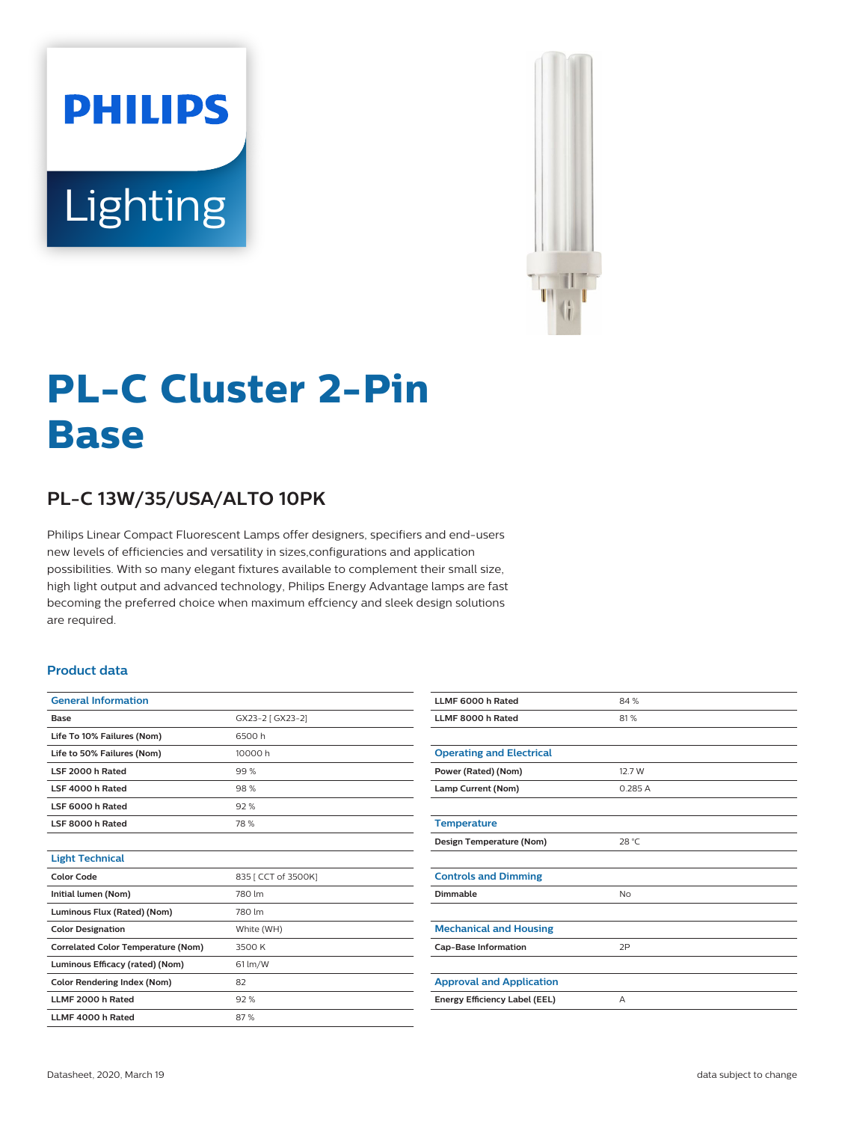



# **PL-C Cluster 2-Pin Base**

# **PL-C 13W/35/USA/ALTO 10PK**

Philips Linear Compact Fluorescent Lamps offer designers, specifiers and end-users new levels of efficiencies and versatility in sizes,configurations and application possibilities. With so many elegant fixtures available to complement their small size, high light output and advanced technology, Philips Energy Advantage lamps are fast becoming the preferred choice when maximum effciency and sleek design solutions are required.

#### **Product data**

| <b>General Information</b>                |                     |  |  |  |
|-------------------------------------------|---------------------|--|--|--|
| Base                                      | GX23-2 [ GX23-2]    |  |  |  |
| Life To 10% Failures (Nom)                | 6500h               |  |  |  |
| Life to 50% Failures (Nom)                | 10000 h             |  |  |  |
| LSF 2000 h Rated                          | 99%                 |  |  |  |
| LSF 4000 h Rated                          | 98%                 |  |  |  |
| LSF 6000 h Rated                          | 92%                 |  |  |  |
| LSF 8000 h Rated                          | 78 %                |  |  |  |
|                                           |                     |  |  |  |
| <b>Light Technical</b>                    |                     |  |  |  |
| <b>Color Code</b>                         | 835   CCT of 3500K] |  |  |  |
| Initial lumen (Nom)                       | 780 lm              |  |  |  |
| Luminous Flux (Rated) (Nom)               | 780 lm              |  |  |  |
| <b>Color Designation</b>                  | White (WH)          |  |  |  |
| <b>Correlated Color Temperature (Nom)</b> | 3500 K              |  |  |  |
| Luminous Efficacy (rated) (Nom)           | $61$ lm/W           |  |  |  |
| <b>Color Rendering Index (Nom)</b>        | 82                  |  |  |  |
| LLMF 2000 h Rated                         | 92%                 |  |  |  |
| LLMF 4000 h Rated                         | 87%                 |  |  |  |

| LLMF 6000 h Rated               | 84%       |
|---------------------------------|-----------|
| LLMF 8000 h Rated               | 81%       |
|                                 |           |
| <b>Operating and Electrical</b> |           |
| Power (Rated) (Nom)             | 12.7 W    |
| Lamp Current (Nom)              | 0.285A    |
|                                 |           |
| <b>Temperature</b>              |           |
| Design Temperature (Nom)        | 28 °C     |
|                                 |           |
| <b>Controls and Dimming</b>     |           |
| Dimmable                        | <b>No</b> |
|                                 |           |
| <b>Mechanical and Housing</b>   |           |
| <b>Cap-Base Information</b>     | 2P        |
|                                 |           |
| <b>Approval and Application</b> |           |
| Energy Efficiency Label (EEL)   | A         |
|                                 |           |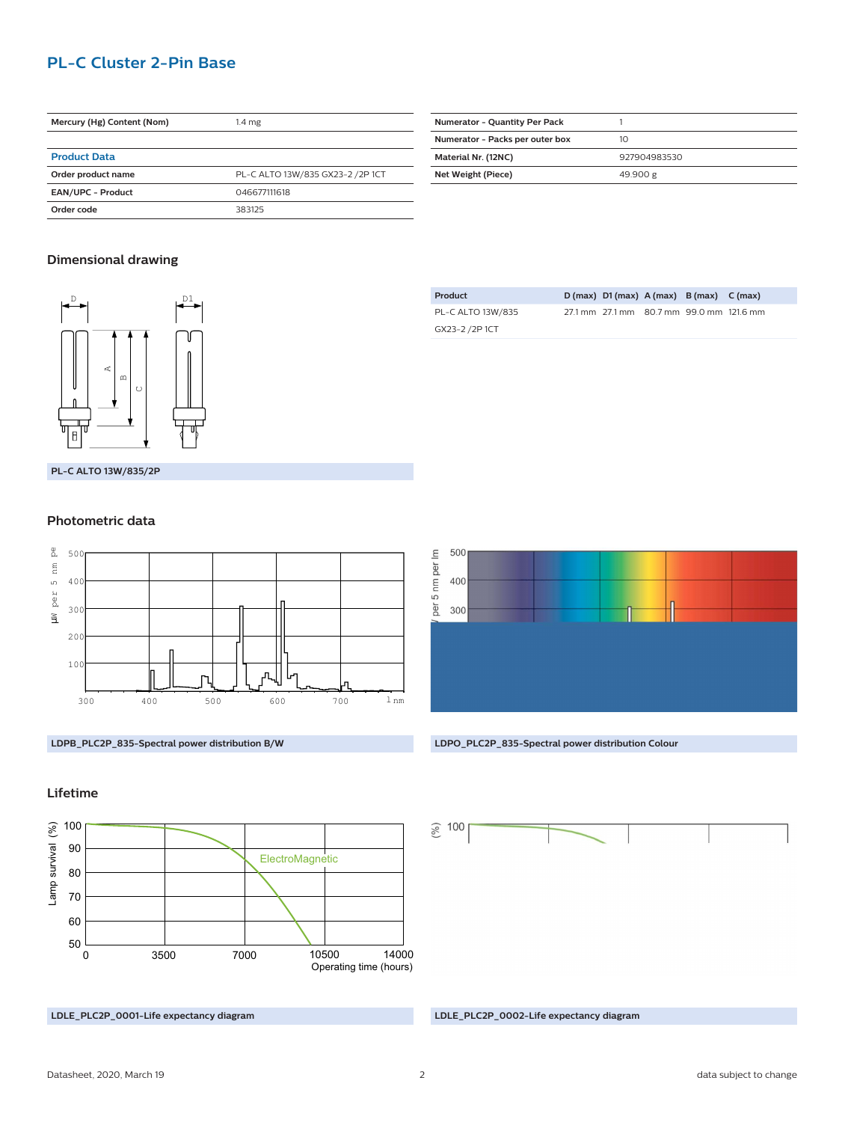# **PL-C Cluster 2-Pin Base**

| Mercury (Hg) Content (Nom) | 1.4 <sub>mg</sub>                |  |  |  |
|----------------------------|----------------------------------|--|--|--|
|                            |                                  |  |  |  |
| <b>Product Data</b>        |                                  |  |  |  |
| Order product name         | PL-C ALTO 13W/835 GX23-2 /2P 1CT |  |  |  |
| <b>EAN/UPC - Product</b>   | 046677111618                     |  |  |  |
| Order code                 | 383125                           |  |  |  |

| <b>Numerator - Quantity Per Pack</b> |              |  |  |
|--------------------------------------|--------------|--|--|
| Numerator - Packs per outer box      | 10           |  |  |
| Material Nr. (12NC)                  | 927904983530 |  |  |
| Net Weight (Piece)                   | 49.900 g     |  |  |

#### **Dimensional drawing**



**PL-C ALTO 13W/835/2P**

#### **Photometric data**



| Product           |  | $D(max)$ $D1(max)$ $A(max)$ $B(max)$ $C(max)$ |  |
|-------------------|--|-----------------------------------------------|--|
| PL-C ALTO 13W/835 |  | 27.1 mm 27.1 mm 80.7 mm 99.0 mm 121.6 mm      |  |
| GX23-2 /2P 1CT    |  |                                               |  |



### **Lifetime**



**LDLE\_PLC2P\_0001-Life expectancy diagram LDLE\_PLC2P\_0002-Life expectancy diagram**